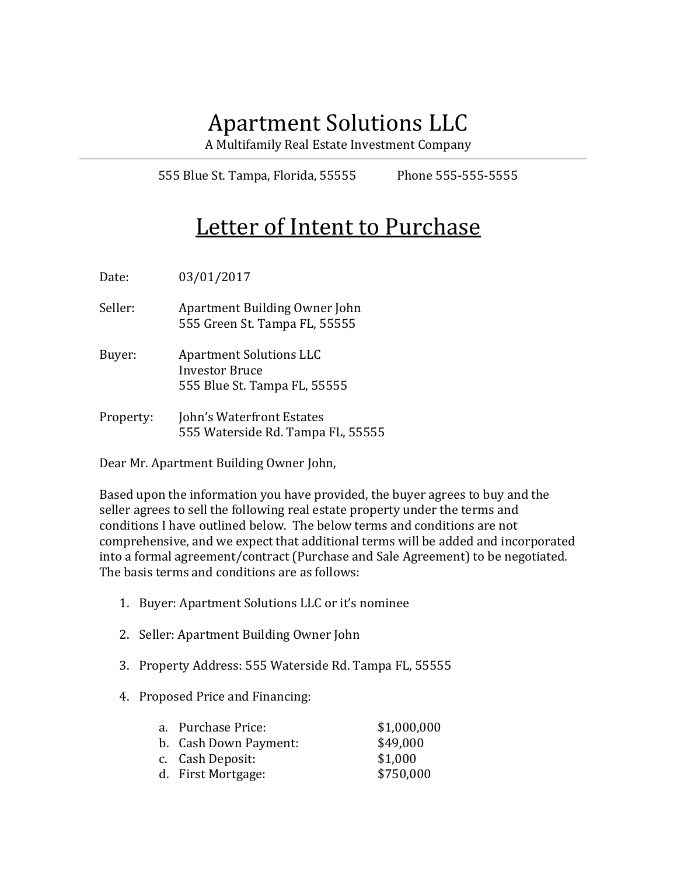## Apartment Solutions LLC

A Multifamily Real Estate Investment Company

555 Blue St. Tampa, Florida, 55555 Phone 555-555-5555

## Letter of Intent to Purchase

Date: 03/01/2017

Seller: Apartment Building Owner John 555 Green St. Tampa FL, 55555

Buyer: Apartment Solutions LLC Investor Bruce 555 Blue St. Tampa FL, 55555

Property: John's Waterfront Estates 555 Waterside Rd. Tampa FL, 55555

Dear Mr. Apartment Building Owner John,

Based upon the information you have provided, the buyer agrees to buy and the seller agrees to sell the following real estate property under the terms and conditions I have outlined below. The below terms and conditions are not comprehensive, and we expect that additional terms will be added and incorporated into a formal agreement/contract (Purchase and Sale Agreement) to be negotiated. The basis terms and conditions are as follows:

- 1. Buyer: Apartment Solutions LLC or it's nominee
- 2. Seller: Apartment Building Owner John
- 3. Property Address: 555 Waterside Rd. Tampa FL, 55555
- 4. Proposed Price and Financing:

| a. Purchase Price:    | \$1,000,000 |
|-----------------------|-------------|
| b. Cash Down Payment: | \$49,000    |
| c. Cash Deposit:      | \$1,000     |
| d. First Mortgage:    | \$750,000   |